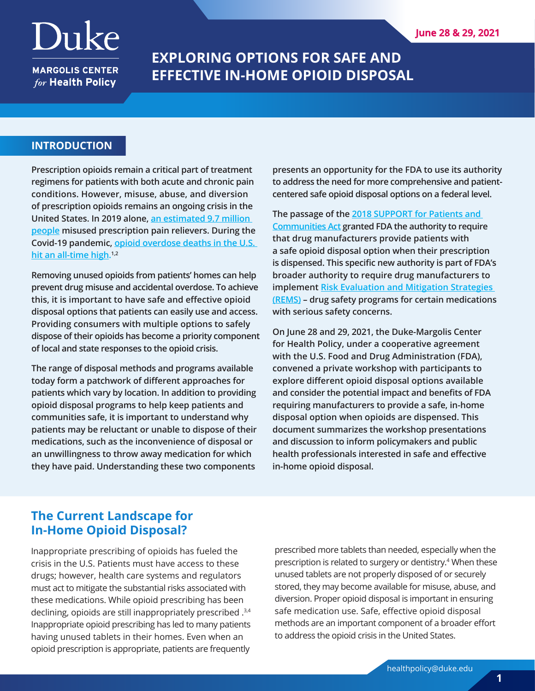# Duke

**MARGOLIS CENTER** for Health Policy

## **EXPLORING OPTIONS FOR SAFE AND EFFECTIVE IN-HOME OPIOID DISPOSAL**

## **INTRODUCTION**

**Prescription opioids remain a critical part of treatment regimens for patients with both acute and chronic pain conditions. However, misuse, abuse, and diversion of prescription opioids remains an ongoing crisis in the United States. In 2019 alone, [an estimated 9.7 million](https://www.hhs.gov/opioids/about-the-epidemic/opioid-crisis-statistics/index.html)  [people](https://www.hhs.gov/opioids/about-the-epidemic/opioid-crisis-statistics/index.html) misused prescription pain relievers. During the Covid-19 pandemic, [opioid overdose deaths in the U.S.](https://www.cdc.gov/media/releases/2020/p1218-overdose-deaths-covid-19.html)  [hit an all-time high.](https://www.cdc.gov/media/releases/2020/p1218-overdose-deaths-covid-19.html) 1,2**

**Removing unused opioids from patients' homes can help prevent drug misuse and accidental overdose. To achieve this, it is important to have safe and effective opioid disposal options that patients can easily use and access. Providing consumers with multiple options to safely dispose of their opioids has become a priority component of local and state responses to the opioid crisis.** 

**The range of disposal methods and programs available today form a patchwork of different approaches for patients which vary by location. In addition to providing opioid disposal programs to help keep patients and communities safe, it is important to understand why patients may be reluctant or unable to dispose of their medications, such as the inconvenience of disposal or an unwillingness to throw away medication for which they have paid. Understanding these two components** 

**presents an opportunity for the FDA to use its authority to address the need for more comprehensive and patientcentered safe opioid disposal options on a federal level.**

**The passage of the [2018 SUPPORT for Patients and](https://www.congress.gov/bill/115th-congress/house-bill/6)  [Communities Act](https://www.congress.gov/bill/115th-congress/house-bill/6) granted FDA the authority to require that drug manufacturers provide patients with a safe opioid disposal option when their prescription is dispensed. This specific new authority is part of FDA's broader authority to require drug manufacturers to implement [Risk Evaluation and Mitigation Strategies](https://www.fda.gov/drugs/drug-safety-and-availability/risk-evaluation-and-mitigation-strategies-rems)  [\(REMS\)](https://www.fda.gov/drugs/drug-safety-and-availability/risk-evaluation-and-mitigation-strategies-rems) – drug safety programs for certain medications with serious safety concerns.** 

**On June 28 and 29, 2021, the Duke-Margolis Center for Health Policy, under a cooperative agreement with the U.S. Food and Drug Administration (FDA), convened a private workshop with participants to explore different opioid disposal options available and consider the potential impact and benefits of FDA requiring manufacturers to provide a safe, in-home disposal option when opioids are dispensed. This document summarizes the workshop presentations and discussion to inform policymakers and public health professionals interested in safe and effective in-home opioid disposal.**

## **The Current Landscape for In-Home Opioid Disposal?**

Inappropriate prescribing of opioids has fueled the crisis in the U.S. Patients must have access to these drugs; however, health care systems and regulators must act to mitigate the substantial risks associated with these medications. While opioid prescribing has been declining, opioids are still inappropriately prescribed .<sup>3,4</sup> Inappropriate opioid prescribing has led to many patients having unused tablets in their homes. Even when an opioid prescription is appropriate, patients are frequently

prescribed more tablets than needed, especially when the prescription is related to surgery or dentistry.4 When these unused tablets are not properly disposed of or securely stored, they may become available for misuse, abuse, and diversion. Proper opioid disposal is important in ensuring safe medication use. Safe, effective opioid disposal methods are an important component of a broader effort to address the opioid crisis in the United States.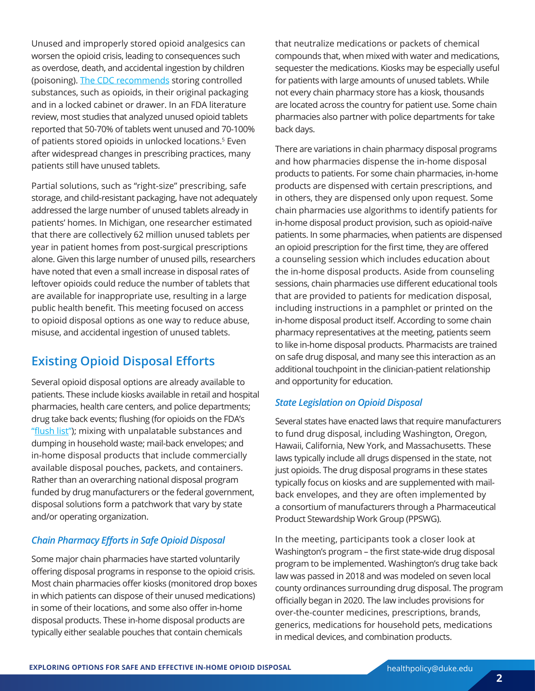Unused and improperly stored opioid analgesics can worsen the opioid crisis, leading to consequences such as overdose, death, and accidental ingestion by children (poisoning). [The CDC recommends](https://www.cdc.gov/wtc/prescriptionsafety.html) storing controlled substances, such as opioids, in their original packaging and in a locked cabinet or drawer. In an FDA literature review, most studies that analyzed unused opioid tablets reported that 50-70% of tablets went unused and 70-100% of patients stored opioids in unlocked locations.5 Even after widespread changes in prescribing practices, many patients still have unused tablets.

Partial solutions, such as "right-size" prescribing, safe storage, and child-resistant packaging, have not adequately addressed the large number of unused tablets already in patients' homes. In Michigan, one researcher estimated that there are collectively 62 million unused tablets per year in patient homes from post-surgical prescriptions alone. Given this large number of unused pills, researchers have noted that even a small increase in disposal rates of leftover opioids could reduce the number of tablets that are available for inappropriate use, resulting in a large public health benefit. This meeting focused on access to opioid disposal options as one way to reduce abuse, misuse, and accidental ingestion of unused tablets.

## **Existing Opioid Disposal Efforts**

Several opioid disposal options are already available to patients. These include kiosks available in retail and hospital pharmacies, health care centers, and police departments; drug take back events; flushing (for opioids on the FDA's "[flush list](https://www.fda.gov/drugs/disposal-unused-medicines-what-you-should-know/drug-disposal-fdas-flush-list-certain-medicines)"); mixing with unpalatable substances and dumping in household waste; mail-back envelopes; and in-home disposal products that include commercially available disposal pouches, packets, and containers. Rather than an overarching national disposal program funded by drug manufacturers or the federal government, disposal solutions form a patchwork that vary by state and/or operating organization.

## *Chain Pharmacy Efforts in Safe Opioid Disposal*

Some major chain pharmacies have started voluntarily offering disposal programs in response to the opioid crisis. Most chain pharmacies offer kiosks (monitored drop boxes in which patients can dispose of their unused medications) in some of their locations, and some also offer in-home disposal products. These in-home disposal products are typically either sealable pouches that contain chemicals

that neutralize medications or packets of chemical compounds that, when mixed with water and medications, sequester the medications. Kiosks may be especially useful for patients with large amounts of unused tablets. While not every chain pharmacy store has a kiosk, thousands are located across the country for patient use. Some chain pharmacies also partner with police departments for take back days.

There are variations in chain pharmacy disposal programs and how pharmacies dispense the in-home disposal products to patients. For some chain pharmacies, in-home products are dispensed with certain prescriptions, and in others, they are dispensed only upon request. Some chain pharmacies use algorithms to identify patients for in-home disposal product provision, such as opioid-naïve patients. In some pharmacies, when patients are dispensed an opioid prescription for the first time, they are offered a counseling session which includes education about the in-home disposal products. Aside from counseling sessions, chain pharmacies use different educational tools that are provided to patients for medication disposal, including instructions in a pamphlet or printed on the in-home disposal product itself. According to some chain pharmacy representatives at the meeting, patients seem to like in-home disposal products. Pharmacists are trained on safe drug disposal, and many see this interaction as an additional touchpoint in the clinician-patient relationship and opportunity for education.

#### *State Legislation on Opioid Disposal*

Several states have enacted laws that require manufacturers to fund drug disposal, including Washington, Oregon, Hawaii, California, New York, and Massachusetts. These laws typically include all drugs dispensed in the state, not just opioids. The drug disposal programs in these states typically focus on kiosks and are supplemented with mailback envelopes, and they are often implemented by a consortium of manufacturers through a Pharmaceutical Product Stewardship Work Group (PPSWG).

In the meeting, participants took a closer look at Washington's program – the first state-wide drug disposal program to be implemented. Washington's drug take back law was passed in 2018 and was modeled on seven local county ordinances surrounding drug disposal. The program officially began in 2020. The law includes provisions for over-the-counter medicines, prescriptions, brands, generics, medications for household pets, medications in medical devices, and combination products.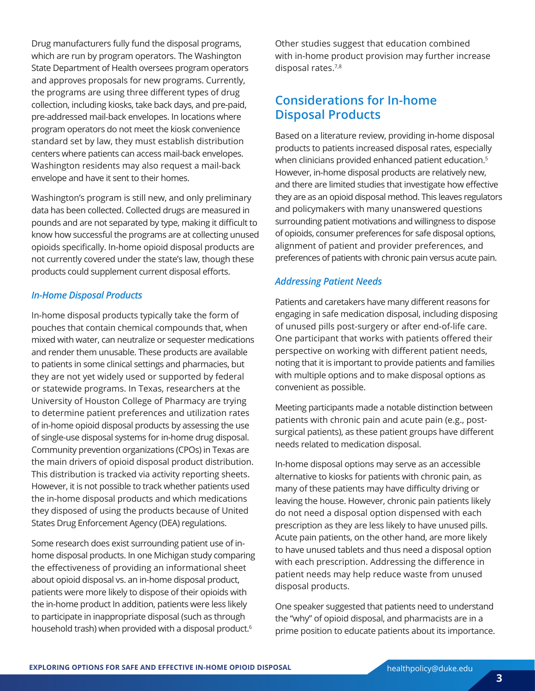Drug manufacturers fully fund the disposal programs, which are run by program operators. The Washington State Department of Health oversees program operators and approves proposals for new programs. Currently, the programs are using three different types of drug collection, including kiosks, take back days, and pre-paid, pre-addressed mail-back envelopes. In locations where program operators do not meet the kiosk convenience standard set by law, they must establish distribution centers where patients can access mail-back envelopes. Washington residents may also request a mail-back envelope and have it sent to their homes.

Washington's program is still new, and only preliminary data has been collected. Collected drugs are measured in pounds and are not separated by type, making it difficult to know how successful the programs are at collecting unused opioids specifically. In-home opioid disposal products are not currently covered under the state's law, though these products could supplement current disposal efforts.

#### *In-Home Disposal Products*

In-home disposal products typically take the form of pouches that contain chemical compounds that, when mixed with water, can neutralize or sequester medications and render them unusable. These products are available to patients in some clinical settings and pharmacies, but they are not yet widely used or supported by federal or statewide programs. In Texas, researchers at the University of Houston College of Pharmacy are trying to determine patient preferences and utilization rates of in-home opioid disposal products by assessing the use of single-use disposal systems for in-home drug disposal. Community prevention organizations (CPOs) in Texas are the main drivers of opioid disposal product distribution. This distribution is tracked via activity reporting sheets. However, it is not possible to track whether patients used the in-home disposal products and which medications they disposed of using the products because of United States Drug Enforcement Agency (DEA) regulations.

Some research does exist surrounding patient use of inhome disposal products. In one Michigan study comparing the effectiveness of providing an informational sheet about opioid disposal vs. an in-home disposal product, patients were more likely to dispose of their opioids with the in-home product In addition, patients were less likely to participate in inappropriate disposal (such as through household trash) when provided with a disposal product.<sup>6</sup>

Other studies suggest that education combined with in-home product provision may further increase disposal rates.7,8

## **Considerations for In-home Disposal Products**

Based on a literature review, providing in-home disposal products to patients increased disposal rates, especially when clinicians provided enhanced patient education.<sup>5</sup> However, in-home disposal products are relatively new, and there are limited studies that investigate how effective they are as an opioid disposal method. This leaves regulators and policymakers with many unanswered questions surrounding patient motivations and willingness to dispose of opioids, consumer preferences for safe disposal options, alignment of patient and provider preferences, and preferences of patients with chronic pain versus acute pain.

#### *Addressing Patient Needs*

Patients and caretakers have many different reasons for engaging in safe medication disposal, including disposing of unused pills post-surgery or after end-of-life care. One participant that works with patients offered their perspective on working with different patient needs, noting that it is important to provide patients and families with multiple options and to make disposal options as convenient as possible.

Meeting participants made a notable distinction between patients with chronic pain and acute pain (e.g., postsurgical patients), as these patient groups have different needs related to medication disposal.

In-home disposal options may serve as an accessible alternative to kiosks for patients with chronic pain, as many of these patients may have difficulty driving or leaving the house. However, chronic pain patients likely do not need a disposal option dispensed with each prescription as they are less likely to have unused pills. Acute pain patients, on the other hand, are more likely to have unused tablets and thus need a disposal option with each prescription. Addressing the difference in patient needs may help reduce waste from unused disposal products.

One speaker suggested that patients need to understand the "why" of opioid disposal, and pharmacists are in a prime position to educate patients about its importance.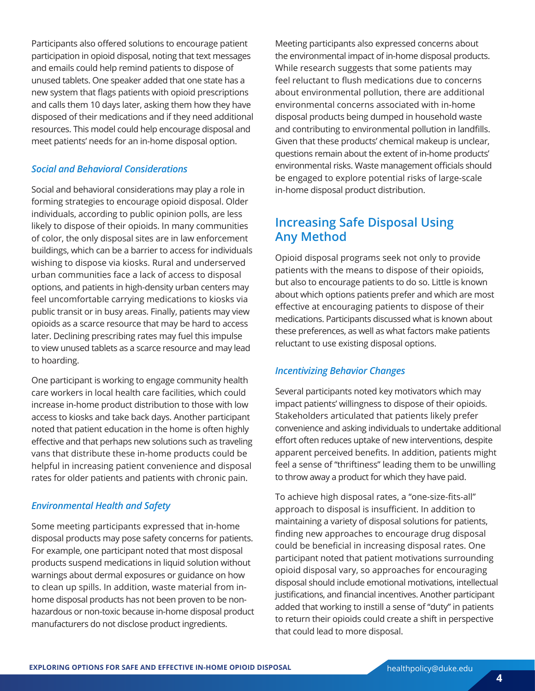Participants also offered solutions to encourage patient participation in opioid disposal, noting that text messages and emails could help remind patients to dispose of unused tablets. One speaker added that one state has a new system that flags patients with opioid prescriptions and calls them 10 days later, asking them how they have disposed of their medications and if they need additional resources. This model could help encourage disposal and meet patients' needs for an in-home disposal option.

## *Social and Behavioral Considerations*

Social and behavioral considerations may play a role in forming strategies to encourage opioid disposal. Older individuals, according to public opinion polls, are less likely to dispose of their opioids. In many communities of color, the only disposal sites are in law enforcement buildings, which can be a barrier to access for individuals wishing to dispose via kiosks. Rural and underserved urban communities face a lack of access to disposal options, and patients in high-density urban centers may feel uncomfortable carrying medications to kiosks via public transit or in busy areas. Finally, patients may view opioids as a scarce resource that may be hard to access later. Declining prescribing rates may fuel this impulse to view unused tablets as a scarce resource and may lead to hoarding.

One participant is working to engage community health care workers in local health care facilities, which could increase in-home product distribution to those with low access to kiosks and take back days. Another participant noted that patient education in the home is often highly effective and that perhaps new solutions such as traveling vans that distribute these in-home products could be helpful in increasing patient convenience and disposal rates for older patients and patients with chronic pain.

## *Environmental Health and Safety*

Some meeting participants expressed that in-home disposal products may pose safety concerns for patients. For example, one participant noted that most disposal products suspend medications in liquid solution without warnings about dermal exposures or guidance on how to clean up spills. In addition, waste material from inhome disposal products has not been proven to be nonhazardous or non-toxic because in-home disposal product manufacturers do not disclose product ingredients.

Meeting participants also expressed concerns about the environmental impact of in-home disposal products. While research suggests that some patients may feel reluctant to flush medications due to concerns about environmental pollution, there are additional environmental concerns associated with in-home disposal products being dumped in household waste and contributing to environmental pollution in landfills. Given that these products' chemical makeup is unclear, questions remain about the extent of in-home products' environmental risks. Waste management officials should be engaged to explore potential risks of large-scale in-home disposal product distribution.

## **Increasing Safe Disposal Using Any Method**

Opioid disposal programs seek not only to provide patients with the means to dispose of their opioids, but also to encourage patients to do so. Little is known about which options patients prefer and which are most effective at encouraging patients to dispose of their medications. Participants discussed what is known about these preferences, as well as what factors make patients reluctant to use existing disposal options.

## *Incentivizing Behavior Changes*

Several participants noted key motivators which may impact patients' willingness to dispose of their opioids. Stakeholders articulated that patients likely prefer convenience and asking individuals to undertake additional effort often reduces uptake of new interventions, despite apparent perceived benefits. In addition, patients might feel a sense of "thriftiness" leading them to be unwilling to throw away a product for which they have paid.

To achieve high disposal rates, a "one-size-fits-all" approach to disposal is insufficient. In addition to maintaining a variety of disposal solutions for patients, finding new approaches to encourage drug disposal could be beneficial in increasing disposal rates. One participant noted that patient motivations surrounding opioid disposal vary, so approaches for encouraging disposal should include emotional motivations, intellectual justifications, and financial incentives. Another participant added that working to instill a sense of "duty" in patients to return their opioids could create a shift in perspective that could lead to more disposal.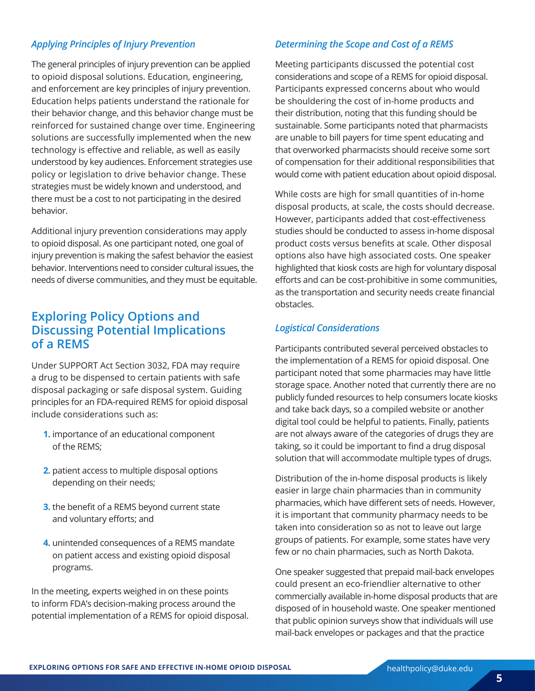## *Applying Principles of Injury Prevention*

The general principles of injury prevention can be applied to opioid disposal solutions. Education, engineering, and enforcement are key principles of injury prevention. Education helps patients understand the rationale for their behavior change, and this behavior change must be reinforced for sustained change over time. Engineering solutions are successfully implemented when the new technology is effective and reliable, as well as easily understood by key audiences. Enforcement strategies use policy or legislation to drive behavior change. These strategies must be widely known and understood, and there must be a cost to not participating in the desired behavior.

Additional injury prevention considerations may apply to opioid disposal. As one participant noted, one goal of injury prevention is making the safest behavior the easiest behavior. Interventions need to consider cultural issues, the needs of diverse communities, and they must be equitable.

## **Exploring Policy Options and Discussing Potential Implications of a REMS**

Under SUPPORT Act Section 3032, FDA may require a drug to be dispensed to certain patients with safe disposal packaging or safe disposal system. Guiding principles for an FDA-required REMS for opioid disposal include considerations such as:

- **1.** importance of an educational component of the REMS;
- **2.** patient access to multiple disposal options depending on their needs;
- **3.** the benefit of a REMS beyond current state and voluntary efforts; and
- **4.** unintended consequences of a REMS mandate on patient access and existing opioid disposal programs.

In the meeting, experts weighed in on these points to inform FDA's decision-making process around the potential implementation of a REMS for opioid disposal.

#### *Determining the Scope and Cost of a REMS*

Meeting participants discussed the potential cost considerations and scope of a REMS for opioid disposal. Participants expressed concerns about who would be shouldering the cost of in-home products and their distribution, noting that this funding should be sustainable. Some participants noted that pharmacists are unable to bill payers for time spent educating and that overworked pharmacists should receive some sort of compensation for their additional responsibilities that would come with patient education about opioid disposal.

While costs are high for small quantities of in-home disposal products, at scale, the costs should decrease. However, participants added that cost-effectiveness studies should be conducted to assess in-home disposal product costs versus benefits at scale. Other disposal options also have high associated costs. One speaker highlighted that kiosk costs are high for voluntary disposal efforts and can be cost-prohibitive in some communities, as the transportation and security needs create financial obstacles.

#### *Logistical Considerations*

Participants contributed several perceived obstacles to the implementation of a REMS for opioid disposal. One participant noted that some pharmacies may have little storage space. Another noted that currently there are no publicly funded resources to help consumers locate kiosks and take back days, so a compiled website or another digital tool could be helpful to patients. Finally, patients are not always aware of the categories of drugs they are taking, so it could be important to find a drug disposal solution that will accommodate multiple types of drugs.

Distribution of the in-home disposal products is likely easier in large chain pharmacies than in community pharmacies, which have different sets of needs. However, it is important that community pharmacy needs to be taken into consideration so as not to leave out large groups of patients. For example, some states have very few or no chain pharmacies, such as North Dakota.

One speaker suggested that prepaid mail-back envelopes could present an eco-friendlier alternative to other commercially available in-home disposal products that are disposed of in household waste. One speaker mentioned that public opinion surveys show that individuals will use mail-back envelopes or packages and that the practice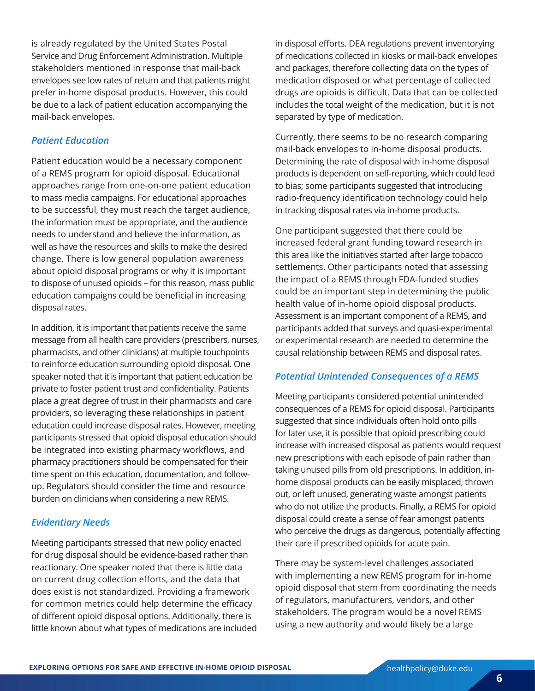is already regulated by the United States Postal Service and Drug Enforcement Administration. Multiple stakeholders mentioned in response that mail-back envelopes see low rates of return and that patients might prefer in-home disposal products. However, this could be due to a lack of patient education accompanying the mail-back envelopes.

## *Patient Education*

Patient education would be a necessary component of a REMS program for opioid disposal. Educational approaches range from one-on-one patient education to mass media campaigns. For educational approaches to be successful, they must reach the target audience, the information must be appropriate, and the audience needs to understand and believe the information, as well as have the resources and skills to make the desired change. There is low general population awareness about opioid disposal programs or why it is important to dispose of unused opioids – for this reason, mass public education campaigns could be beneficial in increasing disposal rates.

In addition, it is important that patients receive the same message from all health care providers (prescribers, nurses, pharmacists, and other clinicians) at multiple touchpoints to reinforce education surrounding opioid disposal. One speaker noted that it is important that patient education be private to foster patient trust and confidentiality. Patients place a great degree of trust in their pharmacists and care providers, so leveraging these relationships in patient education could increase disposal rates. However, meeting participants stressed that opioid disposal education should be integrated into existing pharmacy workflows, and pharmacy practitioners should be compensated for their time spent on this education, documentation, and followup. Regulators should consider the time and resource burden on clinicians when considering a new REMS.

#### *Evidentiary Needs*

Meeting participants stressed that new policy enacted for drug disposal should be evidence-based rather than reactionary. One speaker noted that there is little data on current drug collection efforts, and the data that does exist is not standardized. Providing a framework for common metrics could help determine the efficacy of different opioid disposal options. Additionally, there is little known about what types of medications are included in disposal efforts. DEA regulations prevent inventorying of medications collected in kiosks or mail-back envelopes and packages, therefore collecting data on the types of medication disposed or what percentage of collected drugs are opioids is difficult. Data that can be collected includes the total weight of the medication, but it is not separated by type of medication.

Currently, there seems to be no research comparing mail-back envelopes to in-home disposal products. Determining the rate of disposal with in-home disposal products is dependent on self-reporting, which could lead to bias; some participants suggested that introducing radio-frequency identification technology could help in tracking disposal rates via in-home products.

One participant suggested that there could be increased federal grant funding toward research in this area like the initiatives started after large tobacco settlements. Other participants noted that assessing the impact of a REMS through FDA-funded studies could be an important step in determining the public health value of in-home opioid disposal products. Assessment is an important component of a REMS, and participants added that surveys and quasi-experimental or experimental research are needed to determine the causal relationship between REMS and disposal rates.

## *Potential Unintended Consequences of a REMS*

Meeting participants considered potential unintended consequences of a REMS for opioid disposal. Participants suggested that since individuals often hold onto pills for later use, it is possible that opioid prescribing could increase with increased disposal as patients would request new prescriptions with each episode of pain rather than taking unused pills from old prescriptions. In addition, inhome disposal products can be easily misplaced, thrown out, or left unused, generating waste amongst patients who do not utilize the products. Finally, a REMS for opioid disposal could create a sense of fear amongst patients who perceive the drugs as dangerous, potentially affecting their care if prescribed opioids for acute pain.

There may be system-level challenges associated with implementing a new REMS program for in-home opioid disposal that stem from coordinating the needs of regulators, manufacturers, vendors, and other stakeholders. The program would be a novel REMS using a new authority and would likely be a large